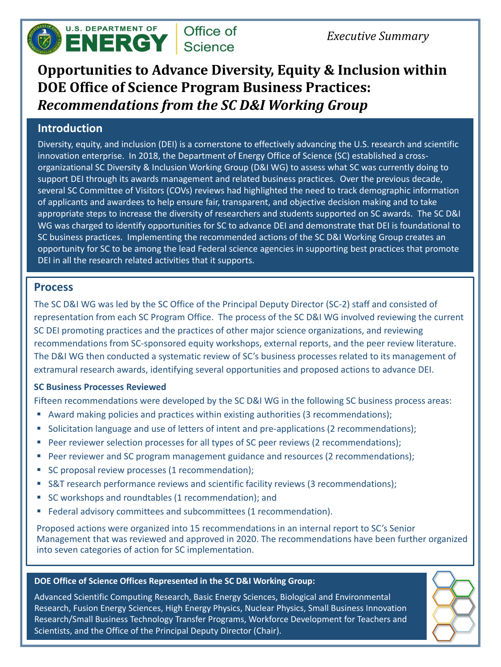# **Opportunities to Advance Diversity, Equity & Inclusion within DOE Office of Science Program Business Practices:**  *Recommendations from the SC D&I Working Group*

#### **Introduction**

Diversity, equity, and inclusion (DEI) is a cornerstone to effectively advancing the U.S. research and scientific innovation enterprise. In 2018, the Department of Energy Office of Science (SC) established a crossorganizational SC Diversity & Inclusion Working Group (D&I WG) to assess what SC was currently doing to support DEI through its awards management and related business practices. Over the previous decade, several SC Committee of Visitors (COVs) reviews had highlighted the need to track demographic information of applicants and awardees to help ensure fair, transparent, and objective decision making and to take appropriate steps to increase the diversity of researchers and students supported on SC awards. The SC D&I WG was charged to identify opportunities for SC to advance DEI and demonstrate that DEI is foundational to SC business practices. Implementing the recommended actions of the SC D&I Working Group creates an opportunity for SC to be among the lead Federal science agencies in supporting best practices that promote DEI in all the research related activities that it supports.

#### **Process**

The SC D&I WG was led by the SC Office of the Principal Deputy Director (SC-2) staff and consisted of representation from each SC Program Office. The process of the SC D&I WG involved reviewing the current SC DEI promoting practices and the practices of other major science organizations, and reviewing recommendations from SC-sponsored equity workshops, external reports, and the peer review literature. The D&I WG then conducted a systematic review of SC's business processes related to its management of extramural research awards, identifying several opportunities and proposed actions to advance DEI.

#### **SC Business Processes Reviewed**

Fifteen recommendations were developed by the SC D&I WG in the following SC business process areas:

- Award making policies and practices within existing authorities (3 recommendations);
- Solicitation language and use of letters of intent and pre-applications (2 recommendations);
- Peer reviewer selection processes for all types of SC peer reviews (2 recommendations);
- Peer reviewer and SC program management guidance and resources (2 recommendations);
- 
- SC proposal review processes (1 recommendation);
- S&T research performance reviews and scientific facility reviews (3 recommendations);
- SC workshops and roundtables (1 recommendation); and
- Federal advisory committees and subcommittees (1 recommendation).

Proposed actions were organized into 15 recommendations in an internal report to SC's Senior Management that was reviewed and approved in 2020. The recommendations have been further organized into seven categories of action for SC implementation.

#### **DOE Office of Science Offices Represented in the SC D&I Working Group:**

Advanced Scientific Computing Research, Basic Energy Sciences, Biological and Environmental Research, Fusion Energy Sciences, High Energy Physics, Nuclear Physics, Small Business Innovation Research/Small Business Technology Transfer Programs, Workforce Development for Teachers and Scientists, and the Office of the Principal Deputy Director (Chair).





## *Executive Summary*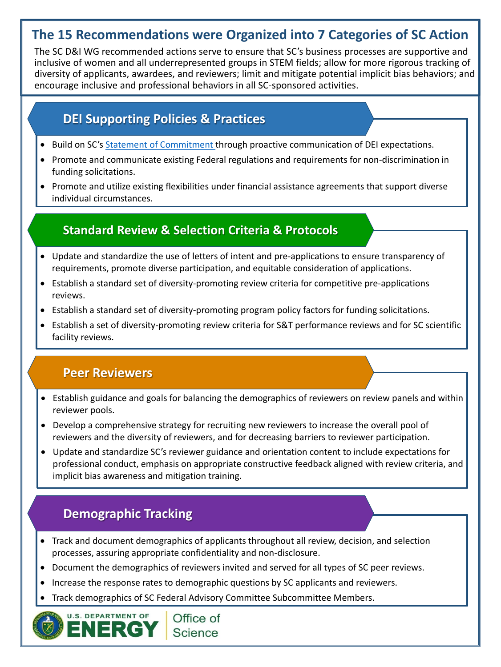## **The 15 Recommendations were Organized into 7 Categories of SC Action**

The SC D&I WG recommended actions serve to ensure that SC's business processes are supportive and inclusive of women and all underrepresented groups in STEM fields; allow for more rigorous tracking of diversity of applicants, awardees, and reviewers; limit and mitigate potential implicit bias behaviors; and encourage inclusive and professional behaviors in all SC-sponsored activities.

- Build on SC's [Statement of Commitment](https://science.osti.gov/sc-2/Research-and-Conduct-Policies/Diversity-Equity-and-Inclusion/SC-Statement-of-Commitment) through proactive communication of DEI expectations.
- Promote and communicate existing Federal regulations and requirements for non-discrimination in funding solicitations.
- Promote and utilize existing flexibilities under financial assistance agreements that support diverse individual circumstances.

## **DEI Supporting Policies & Practices**

- Track and document demographics of applicants throughout all review, decision, and selection processes, assuring appropriate confidentiality and non-disclosure.
- Document the demographics of reviewers invited and served for all types of SC peer reviews.
- Increase the response rates to demographic questions by SC applicants and reviewers.
- Track demographics of SC Federal Advisory Committee Subcommittee Members.



## **Demographic Tracking**

- Update and standardize the use of letters of intent and pre-applications to ensure transparency of requirements, promote diverse participation, and equitable consideration of applications.
- Establish a standard set of diversity-promoting review criteria for competitive pre-applications reviews.
- Establish a standard set of diversity-promoting program policy factors for funding solicitations.
- Establish a set of diversity-promoting review criteria for S&T performance reviews and for SC scientific facility reviews.

### **Standard Review & Selection Criteria & Protocols**

- Establish guidance and goals for balancing the demographics of reviewers on review panels and within reviewer pools.
- Develop a comprehensive strategy for recruiting new reviewers to increase the overall pool of reviewers and the diversity of reviewers, and for decreasing barriers to reviewer participation.
- Update and standardize SC's reviewer guidance and orientation content to include expectations for professional conduct, emphasis on appropriate constructive feedback aligned with review criteria, and

implicit bias awareness and mitigation training.

#### **Peer Reviewers**